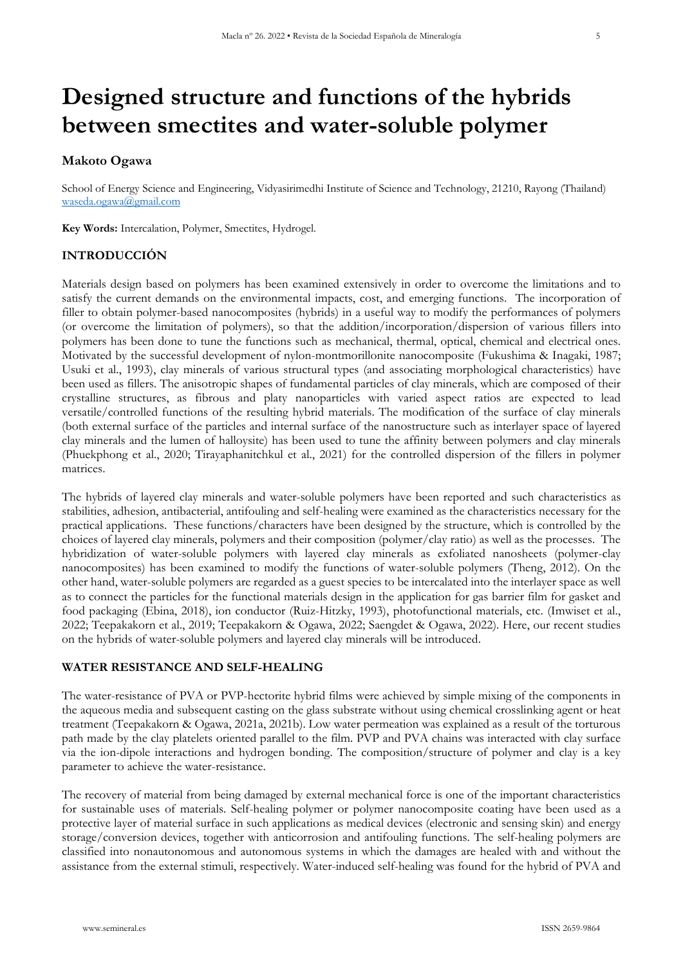# **Designed structure and functions of the hybrids between smectites and water-soluble polymer**

## **Makoto Ogawa**

School of Energy Science and Engineering, Vidyasirimedhi Institute of Science and Technology, 21210, Rayong (Thailand) [waseda.ogawa@gmail.com](mailto:waseda.ogawa@gmail.com)

**Key Words:** Intercalation, Polymer, Smectites, Hydrogel.

# **INTRODUCCIÓN**

Materials design based on polymers has been examined extensively in order to overcome the limitations and to satisfy the current demands on the environmental impacts, cost, and emerging functions. The incorporation of filler to obtain polymer-based nanocomposites (hybrids) in a useful way to modify the performances of polymers (or overcome the limitation of polymers), so that the addition/incorporation/dispersion of various fillers into polymers has been done to tune the functions such as mechanical, thermal, optical, chemical and electrical ones. Motivated by the successful development of nylon-montmorillonite nanocomposite (Fukushima & Inagaki, 1987; Usuki et al., 1993), clay minerals of various structural types (and associating morphological characteristics) have been used as fillers. The anisotropic shapes of fundamental particles of clay minerals, which are composed of their crystalline structures, as fibrous and platy nanoparticles with varied aspect ratios are expected to lead versatile/controlled functions of the resulting hybrid materials. The modification of the surface of clay minerals (both external surface of the particles and internal surface of the nanostructure such as interlayer space of layered clay minerals and the lumen of halloysite) has been used to tune the affinity between polymers and clay minerals (Phuekphong et al., 2020; Tirayaphanitchkul et al., 2021) for the controlled dispersion of the fillers in polymer matrices.

The hybrids of layered clay minerals and water-soluble polymers have been reported and such characteristics as stabilities, adhesion, antibacterial, antifouling and self-healing were examined as the characteristics necessary for the practical applications. These functions/characters have been designed by the structure, which is controlled by the choices of layered clay minerals, polymers and their composition (polymer/clay ratio) as well as the processes. The hybridization of water-soluble polymers with layered clay minerals as exfoliated nanosheets (polymer-clay nanocomposites) has been examined to modify the functions of water-soluble polymers (Theng, 2012). On the other hand, water-soluble polymers are regarded as a guest species to be intercalated into the interlayer space as well as to connect the particles for the functional materials design in the application for gas barrier film for gasket and food packaging (Ebina, 2018), ion conductor (Ruiz-Hitzky, 1993), photofunctional materials, etc. (Imwiset et al., 2022; Teepakakorn et al., 2019; Teepakakorn & Ogawa, 2022; Saengdet & Ogawa, 2022). Here, our recent studies on the hybrids of water-soluble polymers and layered clay minerals will be introduced.

#### **WATER RESISTANCE AND SELF-HEALING**

The water-resistance of PVA or PVP-hectorite hybrid films were achieved by simple mixing of the components in the aqueous media and subsequent casting on the glass substrate without using chemical crosslinking agent or heat treatment (Teepakakorn & Ogawa, 2021a, 2021b). Low water permeation was explained as a result of the torturous path made by the clay platelets oriented parallel to the film. PVP and PVA chains was interacted with clay surface via the ion-dipole interactions and hydrogen bonding. The composition/structure of polymer and clay is a key parameter to achieve the water-resistance.

The recovery of material from being damaged by external mechanical force is one of the important characteristics for sustainable uses of materials. Self-healing polymer or polymer nanocomposite coating have been used as a protective layer of material surface in such applications as medical devices (electronic and sensing skin) and energy storage/conversion devices, together with anticorrosion and antifouling functions. The self-healing polymers are classified into nonautonomous and autonomous systems in which the damages are healed with and without the assistance from the external stimuli, respectively. Water-induced self-healing was found for the hybrid of PVA and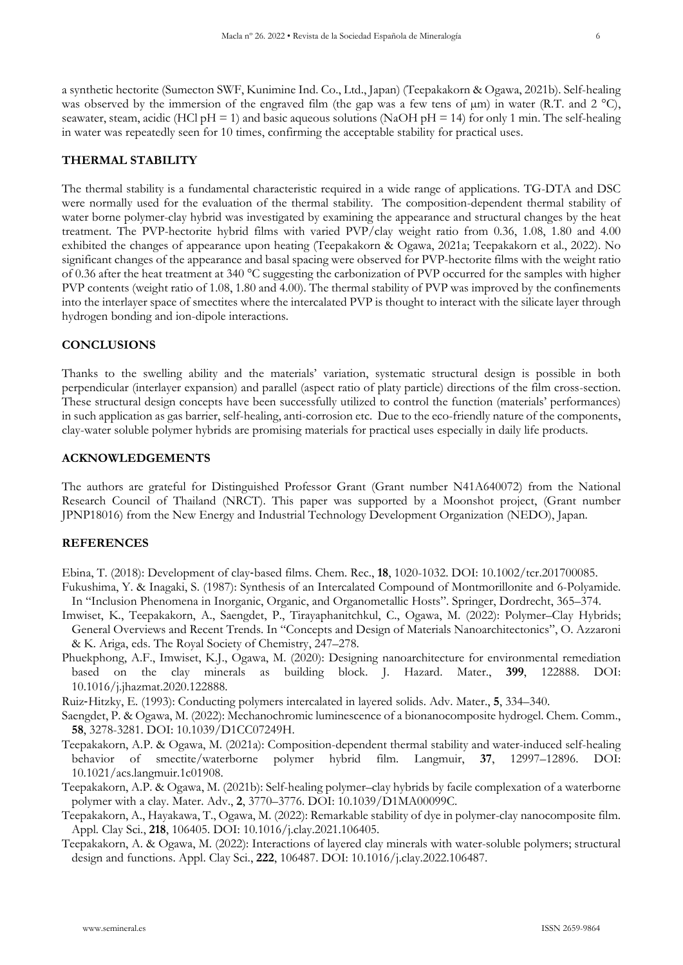a synthetic hectorite (Sumecton SWF, Kunimine Ind. Co., Ltd., Japan) (Teepakakorn & Ogawa, 2021b). Self-healing was observed by the immersion of the engraved film (the gap was a few tens of  $\mu$ m) in water (R.T. and 2 °C), seawater, steam, acidic (HCl pH = 1) and basic aqueous solutions (NaOH pH = 14) for only 1 min. The self-healing in water was repeatedly seen for 10 times, confirming the acceptable stability for practical uses.

## **THERMAL STABILITY**

The thermal stability is a fundamental characteristic required in a wide range of applications. TG-DTA and DSC were normally used for the evaluation of the thermal stability. The composition-dependent thermal stability of water borne polymer-clay hybrid was investigated by examining the appearance and structural changes by the heat treatment. The PVP-hectorite hybrid films with varied PVP/clay weight ratio from 0.36, 1.08, 1.80 and 4.00 exhibited the changes of appearance upon heating (Teepakakorn & Ogawa, 2021a; Teepakakorn et al., 2022). No significant changes of the appearance and basal spacing were observed for PVP-hectorite films with the weight ratio of 0.36 after the heat treatment at 340 °C suggesting the carbonization of PVP occurred for the samples with higher PVP contents (weight ratio of 1.08, 1.80 and 4.00). The thermal stability of PVP was improved by the confinements into the interlayer space of smectites where the intercalated PVP is thought to interact with the silicate layer through hydrogen bonding and ion-dipole interactions.

## **CONCLUSIONS**

Thanks to the swelling ability and the materials' variation, systematic structural design is possible in both perpendicular (interlayer expansion) and parallel (aspect ratio of platy particle) directions of the film cross-section. These structural design concepts have been successfully utilized to control the function (materials' performances) in such application as gas barrier, self-healing, anti-corrosion etc. Due to the eco-friendly nature of the components, clay-water soluble polymer hybrids are promising materials for practical uses especially in daily life products.

## **ACKNOWLEDGEMENTS**

The authors are grateful for Distinguished Professor Grant (Grant number N41A640072) from the National Research Council of Thailand (NRCT). This paper was supported by a Moonshot project, (Grant number JPNP18016) from the New Energy and Industrial Technology Development Organization (NEDO), Japan.

#### **REFERENCES**

Ebina, T. (2018): Development of clay‐based films. Chem. Rec., **18**, 1020-1032. DOI: 10.1002/tcr.201700085.

- Fukushima, Y. & Inagaki, S. (1987): Synthesis of an Intercalated Compound of Montmorillonite and 6-Polyamide. In "Inclusion Phenomena in Inorganic, Organic, and Organometallic Hosts". Springer, Dordrecht, 365–374.
- Imwiset, K., Teepakakorn, A., Saengdet, P., Tirayaphanitchkul, C., Ogawa, M. (2022): Polymer–Clay Hybrids; General Overviews and Recent Trends. In "Concepts and Design of Materials Nanoarchitectonics", O. Azzaroni & K. Ariga, eds. The Royal Society of Chemistry, 247–278.
- Phuekphong, A.F., Imwiset, K.J., Ogawa, M. (2020): Designing nanoarchitecture for environmental remediation based on the clay minerals as building block. J. Hazard. Mater., **399**, 122888. DOI: 10.1016/j.jhazmat.2020.122888.
- Ruiz‐Hitzky, E. (1993): Conducting polymers intercalated in layered solids. Adv. Mater., **5**, 334–340.
- Saengdet, P. & Ogawa, M. (2022): Mechanochromic luminescence of a bionanocomposite hydrogel. Chem. Comm., **58**, 3278-3281. DOI: 10.1039/D1CC07249H.
- Teepakakorn, A.P. & Ogawa, M. (2021a): Composition-dependent thermal stability and water-induced self-healing behavior of smectite/waterborne polymer hybrid film. Langmuir, **37**, 12997–12896. DOI: 10.1021/acs.langmuir.1c01908.
- Teepakakorn, A.P. & Ogawa, M. (2021b): Self-healing polymer–clay hybrids by facile complexation of a waterborne polymer with a clay. Mater. Adv., **2**, 3770–3776. DOI: 10.1039/D1MA00099C.
- Teepakakorn, A., Hayakawa, T., Ogawa, M. (2022): Remarkable stability of dye in polymer-clay nanocomposite film. Appl. Clay Sci., **218**, 106405. DOI: 10.1016/j.clay.2021.106405.
- Teepakakorn, A. & Ogawa, M. (2022): Interactions of layered clay minerals with water-soluble polymers; structural design and functions. Appl. Clay Sci., **222**, 106487. DOI: 10.1016/j.clay.2022.106487.